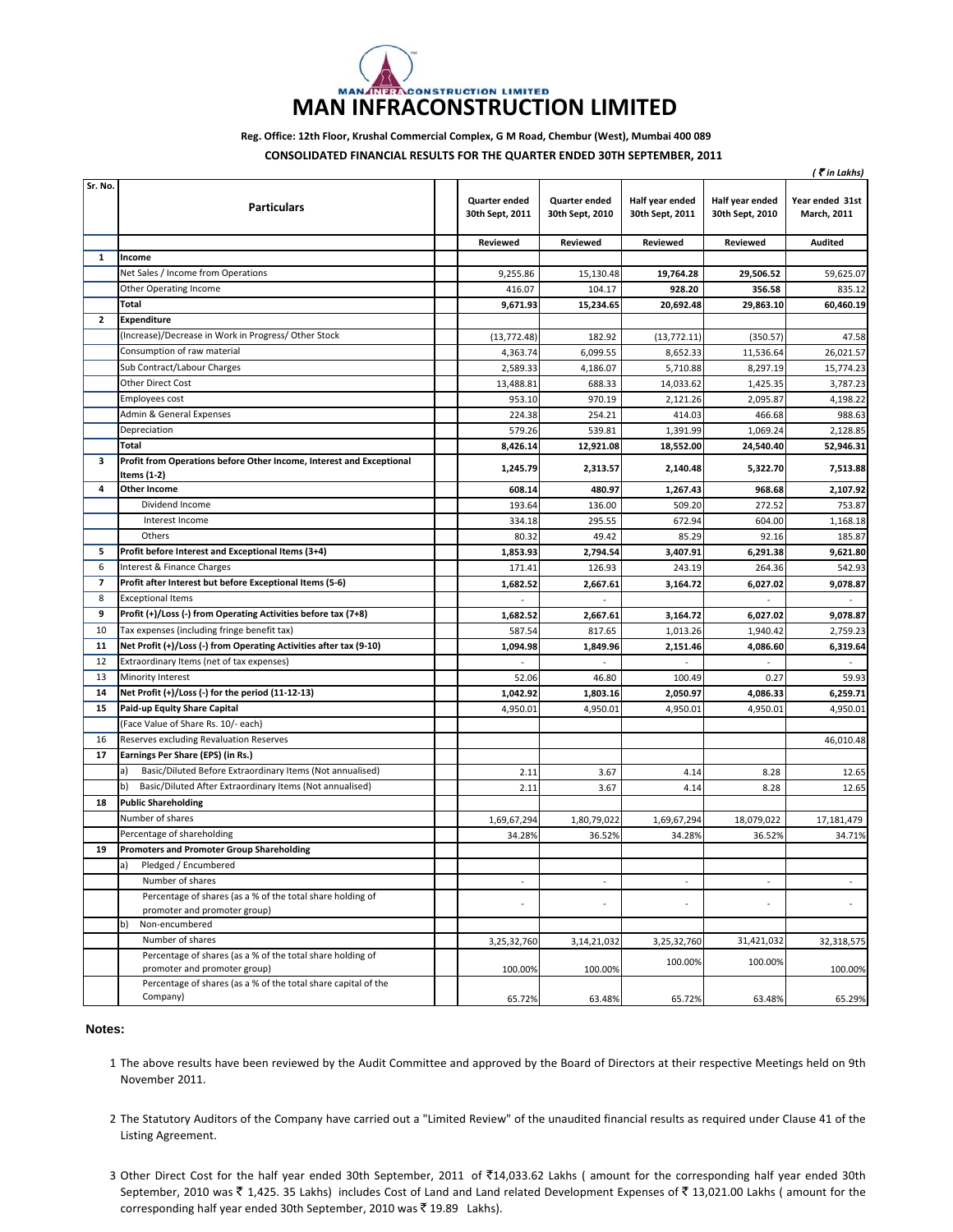## **CONSTRUCTION LIMITED MAN INFRACONSTRUCTION LIMITED**

**Reg. Office: 12th Floor, Krushal Commercial Complex, G M Road, Chembur (West), Mumbai 400 089**

**CONSOLIDATED FINANCIAL RESULTS FOR THE QUARTER ENDED 30TH SEPTEMBER, 2011**

|              |                                                                                            |                                  |                                  |                                    |                                    | (₹in Lakhs)                    |
|--------------|--------------------------------------------------------------------------------------------|----------------------------------|----------------------------------|------------------------------------|------------------------------------|--------------------------------|
| Sr. No.      | <b>Particulars</b>                                                                         | Quarter ended<br>30th Sept, 2011 | Quarter ended<br>30th Sept, 2010 | Half year ended<br>30th Sept, 2011 | Half year ended<br>30th Sept, 2010 | Year ended 31st<br>March, 2011 |
|              |                                                                                            | Reviewed                         | Reviewed                         | Reviewed                           | <b>Reviewed</b>                    | <b>Audited</b>                 |
| 1            | Income                                                                                     |                                  |                                  |                                    |                                    |                                |
|              | Net Sales / Income from Operations                                                         | 9,255.86                         | 15,130.48                        | 19,764.28                          | 29,506.52                          | 59.625.07                      |
|              | Other Operating Income                                                                     | 416.07                           | 104.17                           | 928.20                             | 356.58                             | 835.12                         |
|              | Total                                                                                      | 9,671.93                         | 15,234.65                        | 20,692.48                          | 29,863.10                          | 60,460.19                      |
| $\mathbf{z}$ | <b>Expenditure</b>                                                                         |                                  |                                  |                                    |                                    |                                |
|              | (Increase)/Decrease in Work in Progress/Other Stock                                        | (13, 772.48)                     | 182.92                           | (13, 772.11)                       | (350.57)                           | 47.58                          |
|              | Consumption of raw material                                                                | 4,363.74                         | 6,099.55                         | 8,652.33                           | 11,536.64                          | 26,021.57                      |
|              | Sub Contract/Labour Charges                                                                | 2,589.33                         | 4,186.07                         | 5,710.88                           | 8,297.19                           | 15,774.23                      |
|              | <b>Other Direct Cost</b>                                                                   | 13,488.81                        | 688.33                           | 14,033.62                          | 1,425.35                           | 3,787.23                       |
|              | Employees cost                                                                             | 953.10                           | 970.19                           | 2,121.26                           | 2,095.87                           | 4,198.22                       |
|              | Admin & General Expenses                                                                   | 224.38                           | 254.21                           | 414.03                             | 466.68                             | 988.63                         |
|              | Depreciation                                                                               | 579.26                           | 539.81                           | 1,391.99                           | 1,069.24                           | 2,128.85                       |
|              | Total                                                                                      | 8,426.14                         | 12,921.08                        | 18,552.00                          | 24,540.40                          | 52,946.31                      |
| з            | Profit from Operations before Other Income, Interest and Exceptional<br>Items (1-2)        | 1,245.79                         | 2,313.57                         | 2,140.48                           | 5,322.70                           | 7,513.88                       |
| 4            | <b>Other Income</b>                                                                        | 608.14                           | 480.97                           | 1,267.43                           | 968.68                             | 2,107.92                       |
|              | Dividend Income                                                                            | 193.64                           | 136.00                           | 509.20                             | 272.52                             | 753.87                         |
|              | Interest Income                                                                            | 334.18                           | 295.55                           | 672.94                             | 604.00                             | 1,168.18                       |
|              | Others                                                                                     | 80.32                            | 49.42                            | 85.29                              | 92.16                              | 185.87                         |
| 5            | Profit before Interest and Exceptional Items (3+4)                                         | 1,853.93                         | 2,794.54                         | 3,407.91                           | 6,291.38                           | 9,621.80                       |
| 6            | Interest & Finance Charges                                                                 | 171.41                           | 126.93                           | 243.19                             | 264.36                             | 542.93                         |
| 7            | Profit after Interest but before Exceptional Items (5-6)                                   | 1,682.52                         | 2.667.61                         | 3,164.72                           | 6.027.02                           | 9,078.87                       |
| 8            | <b>Exceptional Items</b>                                                                   | $\blacksquare$                   | $\sim$                           |                                    | $\sim$                             | $\sim$                         |
| 9            | Profit (+)/Loss (-) from Operating Activities before tax (7+8)                             | 1,682.52                         | 2,667.61                         | 3,164.72                           | 6,027.02                           | 9.078.87                       |
| 10           | Tax expenses (including fringe benefit tax)                                                | 587.54                           | 817.65                           | 1,013.26                           | 1,940.42                           | 2,759.23                       |
| 11           | Net Profit (+)/Loss (-) from Operating Activities after tax (9-10)                         | 1,094.98                         | 1,849.96                         | 2,151.46                           | 4,086.60                           | 6,319.64                       |
| 12           | Extraordinary Items (net of tax expenses)                                                  |                                  |                                  |                                    |                                    |                                |
| 13           | Minority Interest                                                                          | 52.06                            | 46.80                            | 100.49                             | 0.27                               | 59.93                          |
| 14           | Net Profit (+)/Loss (-) for the period (11-12-13)                                          | 1,042.92                         | 1,803.16                         | 2,050.97                           | 4,086.33                           | 6,259.71                       |
| 15           | <b>Paid-up Equity Share Capital</b>                                                        | 4,950.01                         | 4,950.01                         | 4,950.01                           | 4,950.01                           | 4,950.01                       |
|              | (Face Value of Share Rs. 10/- each)                                                        |                                  |                                  |                                    |                                    |                                |
| 16           | Reserves excluding Revaluation Reserves                                                    |                                  |                                  |                                    |                                    | 46,010.48                      |
| 17           | Earnings Per Share (EPS) (in Rs.)                                                          |                                  |                                  |                                    |                                    |                                |
|              | Basic/Diluted Before Extraordinary Items (Not annualised)<br>a)                            | 2.11                             | 3.67                             | 4.14                               | 8.28                               | 12.65                          |
|              | b)<br>Basic/Diluted After Extraordinary Items (Not annualised)                             | 2.11                             | 3.67                             | 4.14                               | 8.28                               | 12.65                          |
| 18           | <b>Public Shareholding</b>                                                                 |                                  |                                  |                                    |                                    |                                |
|              | Number of shares                                                                           | 1,69,67,294                      | 1,80,79,022                      | 1,69,67,294                        | 18,079,022                         | 17,181,479                     |
|              | Percentage of shareholding                                                                 | 34.28%                           | 36.52%                           | 34.28%                             | 36.52%                             | 34.71%                         |
| 19           | <b>Promoters and Promoter Group Shareholding</b>                                           |                                  |                                  |                                    |                                    |                                |
|              | Pledged / Encumbered                                                                       |                                  |                                  |                                    |                                    |                                |
|              | Number of shares                                                                           | $\blacksquare$                   | $\sim$                           | $\sim$                             | ÷,                                 | $\overline{\phantom{a}}$       |
|              | Percentage of shares (as a % of the total share holding of                                 |                                  |                                  |                                    | $\sim$                             |                                |
|              | promoter and promoter group)<br>Non-encumbered<br>b)                                       |                                  |                                  |                                    |                                    |                                |
|              | Number of shares                                                                           |                                  |                                  |                                    |                                    |                                |
|              |                                                                                            | 3,25,32,760                      | 3,14,21,032                      | 3,25,32,760                        | 31,421,032                         | 32,318,575                     |
|              | Percentage of shares (as a % of the total share holding of<br>promoter and promoter group) | 100.00%                          | 100.00%                          | 100.00%                            | 100.00%                            | 100.00%                        |
|              | Percentage of shares (as a % of the total share capital of the<br>Company)                 | 65.72%                           | 63.48%                           | 65.72%                             | 63.48%                             | 65.29%                         |

## **Notes:**

- 1 The above results have been reviewed by the Audit Committee and approved by the Board of Directors at their respective Meetings held on 9th November 2011.
- 2 The Statutory Auditors of the Company have carried out a "Limited Review" of the unaudited financial results as required under Clause 41 of the Listing Agreement.
- 3 Other Direct Cost for the half year ended 30th September, 2011 of ₹14,033.62 Lakhs (amount for the corresponding half year ended 30th September, 2010 was  $\bar{\tau}$  1,425. 35 Lakhs) includes Cost of Land and Land related Development Expenses of  $\bar{\tau}$  13,021.00 Lakhs ( amount for the corresponding half year ended 30th September, 2010 was  $\bar{z}$  19.89 Lakhs).